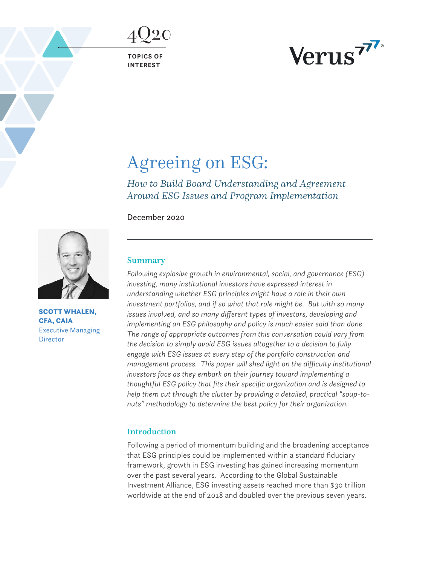4Q20

**TOPICS OF INTEREST**



# Agreeing on ESG:

*How to Build Board Understanding and Agreement Around ESG Issues and Program Implementation*

December 2020



SCOTT WHALEN, CFA, CAIA Executive Managing **Director** 

## Summary

*Following explosive growth in environmental, social, and governance (ESG) investing, many institutional investors have expressed interest in understanding whether ESG principles might have a role in their own investment portfolios, and if so what that role might be. But with so many issues involved, and so many different types of investors, developing and implementing an ESG philosophy and policy is much easier said than done. The range of appropriate outcomes from this conversation could vary from the decision to simply avoid ESG issues altogether to a decision to fully engage with ESG issues at every step of the portfolio construction and management process. This paper will shed light on the difficulty institutional investors face as they embark on their journey toward implementing a thoughtful ESG policy that fits their specific organization and is designed to help them cut through the clutter by providing a detailed, practical "soup-tonuts" methodology to determine the best policy for their organization.* 

## Introduction

Following a period of momentum building and the broadening acceptance that ESG principles could be implemented within a standard fiduciary framework, growth in ESG investing has gained increasing momentum over the past several years. According to the Global Sustainable Investment Alliance, ESG investing assets reached more than \$30 trillion worldwide at the end of 2018 and doubled over the previous seven years.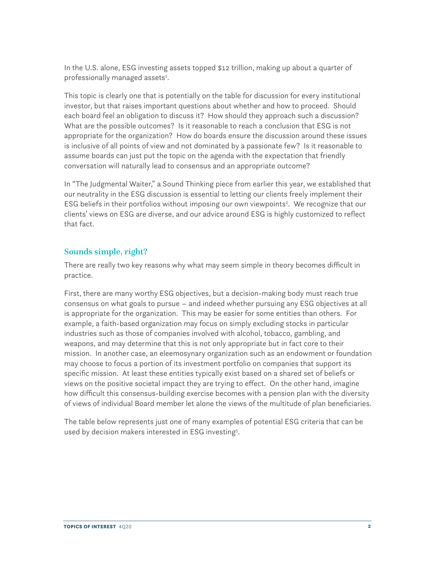In the U.S. alone, ESG investing assets topped \$12 trillion, making up about a quarter of professionally managed assets<sup>1</sup>.

This topic is clearly one that is potentially on the table for discussion for every institutional investor, but that raises important questions about whether and how to proceed. Should each board feel an obligation to discuss it? How should they approach such a discussion? What are the possible outcomes? Is it reasonable to reach a conclusion that ESG is not appropriate for the organization? How do boards ensure the discussion around these issues is inclusive of all points of view and not dominated by a passionate few? Is it reasonable to assume boards can just put the topic on the agenda with the expectation that friendly conversation will naturally lead to consensus and an appropriate outcome?

In "The Judgmental Waiter," a Sound Thinking piece from earlier this year, we established that our neutrality in the ESG discussion is essential to letting our clients freely implement their ESG beliefs in their portfolios without imposing our own viewpoints<sup>2</sup>. We recognize that our clients' views on ESG are diverse, and our advice around ESG is highly customized to reflect that fact.

## Sounds simple, right?

There are really two key reasons why what may seem simple in theory becomes difficult in practice.

First, there are many worthy ESG objectives, but a decision-making body must reach true consensus on what goals to pursue – and indeed whether pursuing any ESG objectives at all is appropriate for the organization. This may be easier for some entities than others. For example, a faith-based organization may focus on simply excluding stocks in particular industries such as those of companies involved with alcohol, tobacco, gambling, and weapons, and may determine that this is not only appropriate but in fact core to their mission. In another case, an eleemosynary organization such as an endowment or foundation may choose to focus a portion of its investment portfolio on companies that support its specific mission. At least these entities typically exist based on a shared set of beliefs or views on the positive societal impact they are trying to effect. On the other hand, imagine how difficult this consensus-building exercise becomes with a pension plan with the diversity of views of individual Board member let alone the views of the multitude of plan beneficiaries.

The table below represents just one of many examples of potential ESG criteria that can be used by decision makers interested in ESG investing<sup>3</sup>.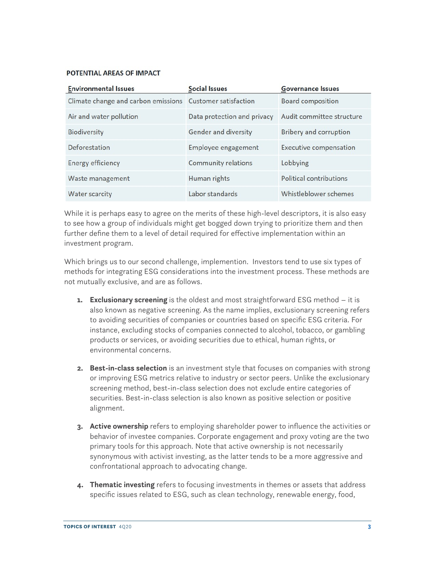#### POTENTIAL AREAS OF IMPACT

| <b>Environmental Issues</b>                                | <b>Social Issues</b>        | <b>Governance Issues</b>      |
|------------------------------------------------------------|-----------------------------|-------------------------------|
| Climate change and carbon emissions  Customer satisfaction |                             | <b>Board composition</b>      |
| Air and water pollution                                    | Data protection and privacy | Audit committee structure     |
| <b>Biodiversity</b>                                        | Gender and diversity        | <b>Bribery and corruption</b> |
| Deforestation                                              | Employee engagement         | <b>Executive compensation</b> |
| Energy efficiency                                          | Community relations         | Lobbying                      |
| Waste management                                           | Human rights                | Political contributions       |
| Water scarcity                                             | Labor standards             | Whistleblower schemes         |

While it is perhaps easy to agree on the merits of these high-level descriptors, it is also easy to see how a group of individuals might get bogged down trying to prioritize them and then further define them to a level of detail required for effective implementation within an investment program.

Which brings us to our second challenge, implemention. Investors tend to use six types of methods for integrating ESG considerations into the investment process. These methods are not mutually exclusive, and are as follows.

- **1. Exclusionary screening** is the oldest and most straightforward ESG method it is also known as negative screening. As the name implies, exclusionary screening refers to avoiding securities of companies or countries based on specific ESG criteria. For instance, excluding stocks of companies connected to alcohol, tobacco, or gambling products or services, or avoiding securities due to ethical, human rights, or environmental concerns.
- **2. Best-in-class selection** is an investment style that focuses on companies with strong or improving ESG metrics relative to industry or sector peers. Unlike the exclusionary screening method, best-in-class selection does not exclude entire categories of securities. Best-in-class selection is also known as positive selection or positive alignment.
- **3. Active ownership** refers to employing shareholder power to influence the activities or behavior of investee companies. Corporate engagement and proxy voting are the two primary tools for this approach. Note that active ownership is not necessarily synonymous with activist investing, as the latter tends to be a more aggressive and confrontational approach to advocating change.
- **4. Thematic investing** refers to focusing investments in themes or assets that address specific issues related to ESG, such as clean technology, renewable energy, food,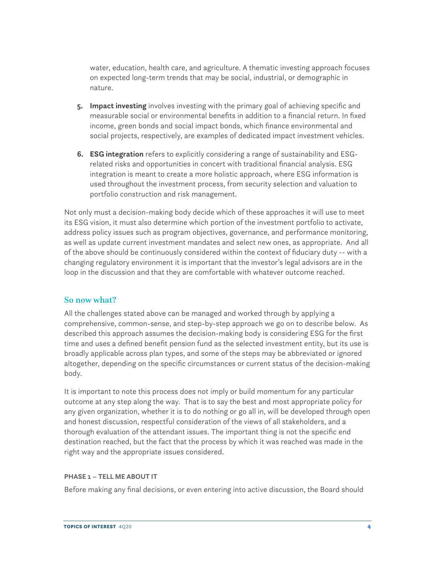water, education, health care, and agriculture. A thematic investing approach focuses on expected long-term trends that may be social, industrial, or demographic in nature.

- **5. Impact investing** involves investing with the primary goal of achieving specific and measurable social or environmental benefits in addition to a financial return. In fixed income, green bonds and social impact bonds, which finance environmental and social projects, respectively, are examples of dedicated impact investment vehicles.
- **6. ESG integration** refers to explicitly considering a range of sustainability and ESGrelated risks and opportunities in concert with traditional financial analysis. ESG integration is meant to create a more holistic approach, where ESG information is used throughout the investment process, from security selection and valuation to portfolio construction and risk management.

Not only must a decision-making body decide which of these approaches it will use to meet its ESG vision, it must also determine which portion of the investment portfolio to activate, address policy issues such as program objectives, governance, and performance monitoring, as well as update current investment mandates and select new ones, as appropriate. And all of the above should be continuously considered within the context of fiduciary duty -- with a changing regulatory environment it is important that the investor's legal advisors are in the loop in the discussion and that they are comfortable with whatever outcome reached.

# So now what?

All the challenges stated above can be managed and worked through by applying a comprehensive, common-sense, and step-by-step approach we go on to describe below. As described this approach assumes the decision-making body is considering ESG for the first time and uses a defined benefit pension fund as the selected investment entity, but its use is broadly applicable across plan types, and some of the steps may be abbreviated or ignored altogether, depending on the specific circumstances or current status of the decision-making body.

It is important to note this process does not imply or build momentum for any particular outcome at any step along the way. That is to say the best and most appropriate policy for any given organization, whether it is to do nothing or go all in, will be developed through open and honest discussion, respectful consideration of the views of all stakeholders, and a thorough evaluation of the attendant issues. The important thing is not the specific end destination reached, but the fact that the process by which it was reached was made in the right way and the appropriate issues considered.

#### **PHASE 1 – TELL ME ABOUT IT**

Before making any final decisions, or even entering into active discussion, the Board should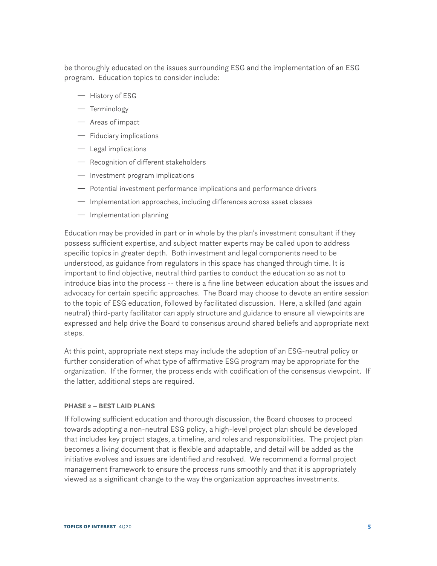be thoroughly educated on the issues surrounding ESG and the implementation of an ESG program. Education topics to consider include:

- $-$  History of ESG
- $-$  Terminology
- $-$  Areas of impact
- $-$  Fiduciary implications
- $-$  Legal implications
- $-$  Recognition of different stakeholders
- Investment program implications
- $-$  Potential investment performance implications and performance drivers
- $-$  Implementation approaches, including differences across asset classes
- $-$  Implementation planning

Education may be provided in part or in whole by the plan's investment consultant if they possess sufficient expertise, and subject matter experts may be called upon to address specific topics in greater depth. Both investment and legal components need to be understood, as guidance from regulators in this space has changed through time. It is important to find objective, neutral third parties to conduct the education so as not to introduce bias into the process -- there is a fine line between education about the issues and advocacy for certain specific approaches. The Board may choose to devote an entire session to the topic of ESG education, followed by facilitated discussion. Here, a skilled (and again neutral) third-party facilitator can apply structure and guidance to ensure all viewpoints are expressed and help drive the Board to consensus around shared beliefs and appropriate next steps.

At this point, appropriate next steps may include the adoption of an ESG-neutral policy or further consideration of what type of affirmative ESG program may be appropriate for the organization. If the former, the process ends with codification of the consensus viewpoint. If the latter, additional steps are required.

#### **PHASE 2 – BEST LAID PLANS**

If following sufficient education and thorough discussion, the Board chooses to proceed towards adopting a non-neutral ESG policy, a high-level project plan should be developed that includes key project stages, a timeline, and roles and responsibilities. The project plan becomes a living document that is flexible and adaptable, and detail will be added as the initiative evolves and issues are identified and resolved. We recommend a formal project management framework to ensure the process runs smoothly and that it is appropriately viewed as a significant change to the way the organization approaches investments.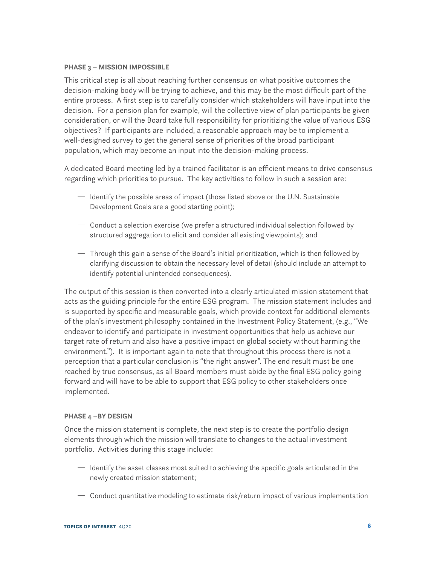#### **PHASE 3 – MISSION IMPOSSIBLE**

This critical step is all about reaching further consensus on what positive outcomes the decision-making body will be trying to achieve, and this may be the most difficult part of the entire process. A first step is to carefully consider which stakeholders will have input into the decision. For a pension plan for example, will the collective view of plan participants be given consideration, or will the Board take full responsibility for prioritizing the value of various ESG objectives? If participants are included, a reasonable approach may be to implement a well-designed survey to get the general sense of priorities of the broad participant population, which may become an input into the decision-making process.

A dedicated Board meeting led by a trained facilitator is an efficient means to drive consensus regarding which priorities to pursue. The key activities to follow in such a session are:

- $-$  Identify the possible areas of impact (those listed above or the U.N. Sustainable Development Goals are a good starting point);
- <sup>-</sup> Conduct a selection exercise (we prefer a structured individual selection followed by structured aggregation to elicit and consider all existing viewpoints); and
- $-$  Through this gain a sense of the Board's initial prioritization, which is then followed by clarifying discussion to obtain the necessary level of detail (should include an attempt to identify potential unintended consequences).

The output of this session is then converted into a clearly articulated mission statement that acts as the guiding principle for the entire ESG program. The mission statement includes and is supported by specific and measurable goals, which provide context for additional elements of the plan's investment philosophy contained in the Investment Policy Statement, (e.g., "We endeavor to identify and participate in investment opportunities that help us achieve our target rate of return and also have a positive impact on global society without harming the environment."). It is important again to note that throughout this process there is not a perception that a particular conclusion is "the right answer". The end result must be one reached by true consensus, as all Board members must abide by the final ESG policy going forward and will have to be able to support that ESG policy to other stakeholders once implemented.

#### **PHASE 4 –BY DESIGN**

Once the mission statement is complete, the next step is to create the portfolio design elements through which the mission will translate to changes to the actual investment portfolio. Activities during this stage include:

- $\overline{\phantom{a}}$  Identify the asset classes most suited to achieving the specific goals articulated in the newly created mission statement;
- $\overline{\phantom{a}}$  Conduct quantitative modeling to estimate risk/return impact of various implementation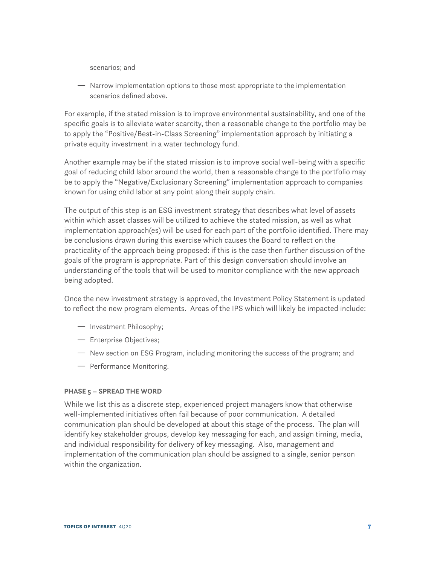scenarios; and

<sup>-</sup> Narrow implementation options to those most appropriate to the implementation scenarios defined above.

For example, if the stated mission is to improve environmental sustainability, and one of the specific goals is to alleviate water scarcity, then a reasonable change to the portfolio may be to apply the "Positive/Best-in-Class Screening" implementation approach by initiating a private equity investment in a water technology fund.

Another example may be if the stated mission is to improve social well-being with a specific goal of reducing child labor around the world, then a reasonable change to the portfolio may be to apply the "Negative/Exclusionary Screening" implementation approach to companies known for using child labor at any point along their supply chain.

The output of this step is an ESG investment strategy that describes what level of assets within which asset classes will be utilized to achieve the stated mission, as well as what implementation approach(es) will be used for each part of the portfolio identified. There may be conclusions drawn during this exercise which causes the Board to reflect on the practicality of the approach being proposed: if this is the case then further discussion of the goals of the program is appropriate. Part of this design conversation should involve an understanding of the tools that will be used to monitor compliance with the new approach being adopted.

Once the new investment strategy is approved, the Investment Policy Statement is updated to reflect the new program elements. Areas of the IPS which will likely be impacted include:

- $-$  Investment Philosophy;
- Enterprise Objectives;
- <sup>-</sup> New section on ESG Program, including monitoring the success of the program; and
- Performance Monitoring.

#### **PHASE 5 – SPREAD THE WORD**

While we list this as a discrete step, experienced project managers know that otherwise well-implemented initiatives often fail because of poor communication. A detailed communication plan should be developed at about this stage of the process. The plan will identify key stakeholder groups, develop key messaging for each, and assign timing, media, and individual responsibility for delivery of key messaging. Also, management and implementation of the communication plan should be assigned to a single, senior person within the organization.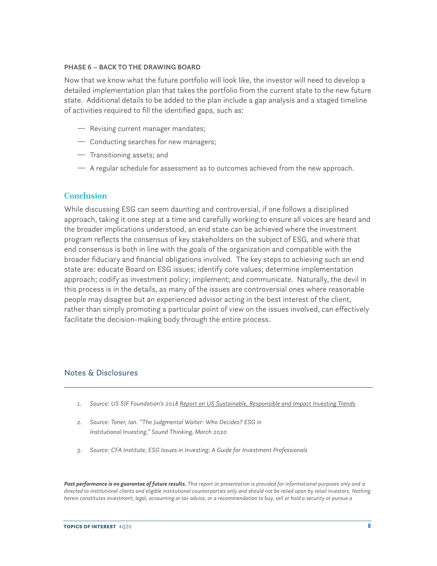#### **PHASE 6 – BACK TO THE DRAWING BOARD**

Now that we know what the future portfolio will look like, the investor will need to develop a detailed implementation plan that takes the portfolio from the current state to the new future state. Additional details to be added to the plan include a gap analysis and a staged timeline of activities required to fill the identified gaps, such as:

- Revising current manager mandates;
- $-$  Conducting searches for new managers;
- $-$  Transitioning assets; and
- $-$  A regular schedule for assessment as to outcomes achieved from the new approach.

## **Conclusion**

While discussing ESG can seem daunting and controversial, if one follows a disciplined approach, taking it one step at a time and carefully working to ensure all voices are heard and the broader implications understood, an end state can be achieved where the investment program reflects the consensus of key stakeholders on the subject of ESG, and where that end consensus is both in line with the goals of the organization and compatible with the broader fiduciary and financial obligations involved. The key steps to achieving such an end state are: educate Board on ESG issues; identify core values; determine implementation approach; codify as investment policy; implement; and communicate. Naturally, the devil in this process is in the details, as many of the issues are controversial ones where reasonable people may disagree but an experienced advisor acting in the best interest of the client, rather than simply promoting a particular point of view on the issues involved, can effectively facilitate the decision-making body through the entire process.

#### Notes & Disclosures

- *1. Source: US SIF Foundation's 2018 Report on US Sustainable, Responsible and Impact Investing Trends*
- *2. Source: Toner, Ian. "The Judgmental Waiter: Who Decides? ESG in Institutional Investing." Sound Thinking, March 2020*
- *3. Source: CFA Institute, ESG Issues in Investing: A Guide for Investment Professionals*

*Past performance is no guarantee of future results. This report or presentation is provided for informational purposes only and is directed to institutional clients and eligible institutional counterparties only and should not be relied upon by retail investors. Nothing herein constitutes investment, legal, accounting or tax advice, or a recommendation to buy, sell or hold a security or pursue a*